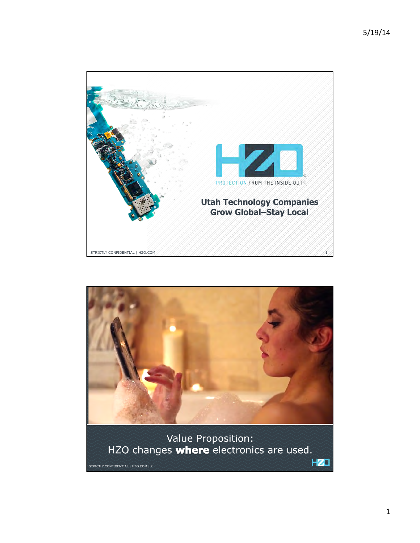

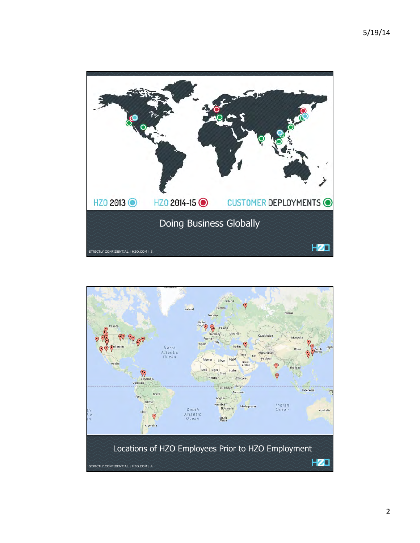

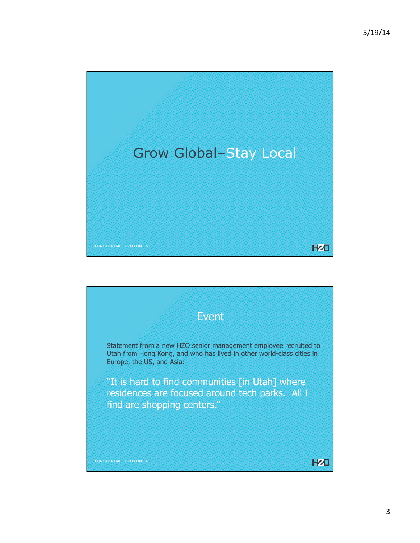

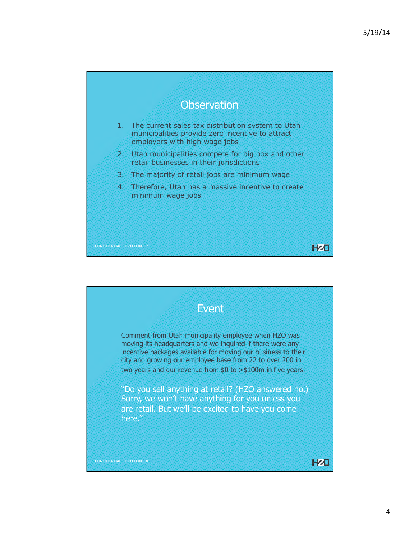

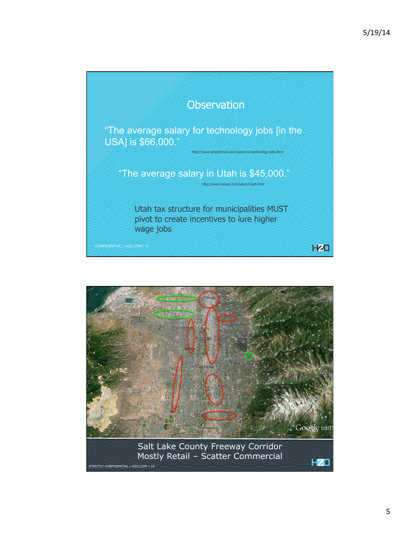

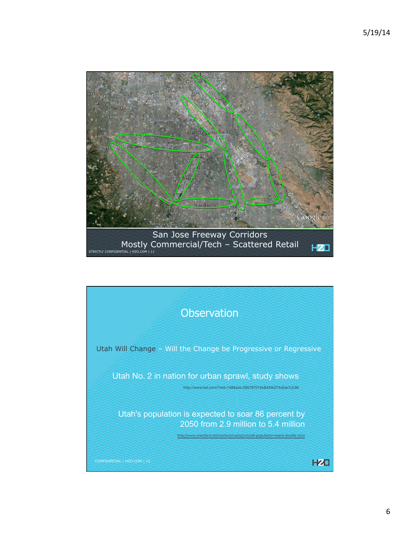

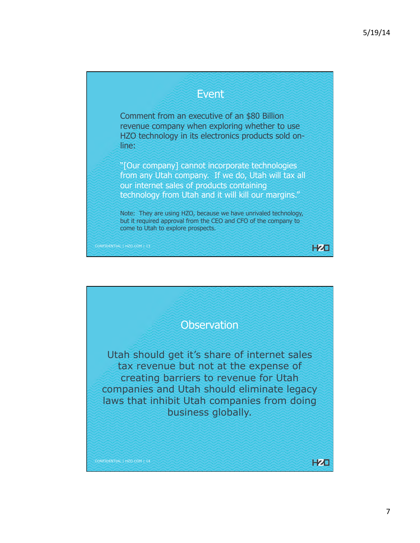**HZD** 

## Event

Comment from an executive of an \$80 Billion revenue company when exploring whether to use HZO technology in its electronics products sold online:

"[Our company] cannot incorporate technologies from any Utah company. If we do, Utah will tax all our internet sales of products containing technology from Utah and it will kill our margins."

Note: They are using HZO, because we have unrivaled technology, but it required approval from the CEO and CFO of the company to come to Utah to explore prospects.

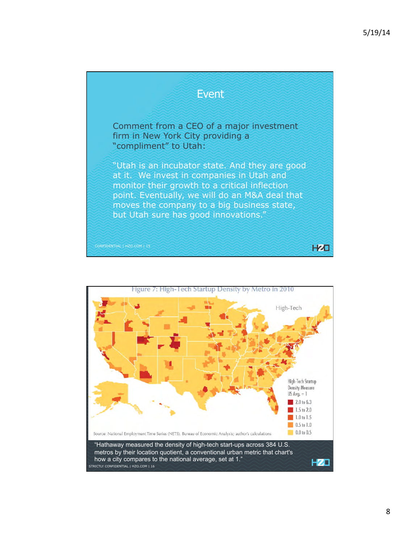

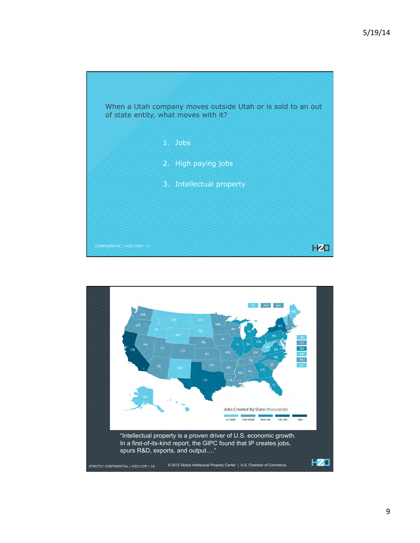

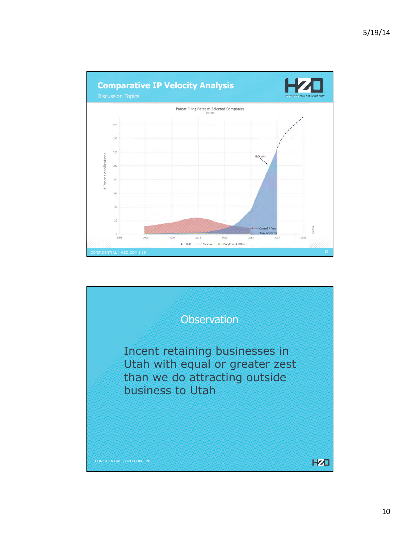

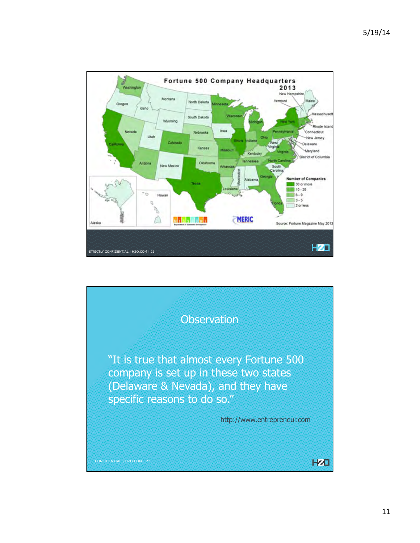